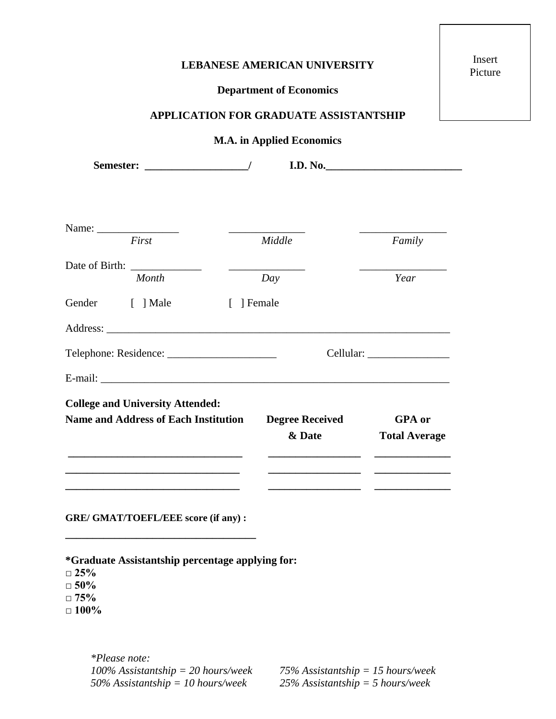## **LEBANESE AMERICAN UNIVERSITY**

## **Department of Economics**

**APPLICATION FOR GRADUATE ASSISTANTSHIP**

## **M.A. in Applied Economics**

Semester:  $/$  **I.D.** No. Name: \_\_\_\_\_\_\_\_\_\_\_\_\_\_\_ \_\_\_\_\_\_\_\_\_\_\_\_\_\_ \_\_\_\_\_\_\_\_\_\_\_\_\_\_\_\_ *First Middle Family* Date of Birth: *Month Day Year* Gender [ ] Male [ ] Female Address: \_\_\_\_\_\_\_\_\_\_\_\_\_\_\_\_\_\_\_\_\_\_\_\_\_\_\_\_\_\_\_\_\_\_\_\_\_\_\_\_\_\_\_\_\_\_\_\_\_\_\_\_\_\_\_\_\_\_\_\_\_\_\_ Telephone: Residence: \_\_\_\_\_\_\_\_\_\_\_\_\_\_\_\_\_\_\_\_ Cellular: \_\_\_\_\_\_\_\_\_\_\_\_\_\_\_ E-mail: **College and University Attended: Name and Address of Each Institution \_\_\_\_\_\_\_\_\_\_\_\_\_\_\_\_\_\_\_\_\_\_\_\_\_\_\_\_\_\_\_\_ \_\_\_\_\_\_\_\_\_\_\_\_\_\_\_\_\_\_\_\_\_\_\_\_\_\_\_\_\_\_\_\_ \_\_\_\_\_\_\_\_\_\_\_\_\_\_\_\_\_\_\_\_\_\_\_\_\_\_\_\_\_\_\_\_ Degree Received & Date \_\_\_\_\_\_\_\_\_\_\_\_\_\_\_\_\_ \_\_\_\_\_\_\_\_\_\_\_\_\_\_\_\_\_ \_\_\_\_\_\_\_\_\_\_\_\_\_\_\_\_\_ GPA or Total Average \_\_\_\_\_\_\_\_\_\_\_\_\_\_ \_\_\_\_\_\_\_\_\_\_\_\_\_\_ \_\_\_\_\_\_\_\_\_\_\_\_\_\_**

**GRE/ GMAT/TOEFL/EEE score (if any) :** 

**\_\_\_\_\_\_\_\_\_\_\_\_\_\_\_\_\_\_\_\_\_\_\_\_\_\_\_\_\_\_\_\_\_\_\_**

**\*Graduate Assistantship percentage applying for:**

**□ 25%**

**□ 50%**

**□ 75%**

**□ 100%**

*\*Please note: 100% Assistantship = 20 hours/week 75% Assistantship = 15 hours/week 50% Assistantship = 10 hours/week 25% Assistantship = 5 hours/week*

Insert Picture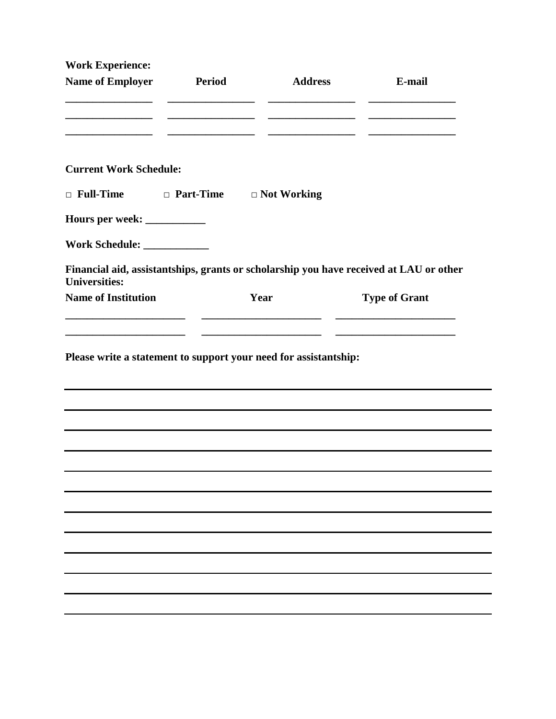| <b>Address</b><br>E-mail<br>Period<br>the control of the control of the control of the control of the control of<br><b>Current Work Schedule:</b><br>$\Box$ Full-Time<br>□ Part-Time □ Not Working<br>Hours per week: ___________<br>Work Schedule: ______________<br>Financial aid, assistantships, grants or scholarship you have received at LAU or other<br>Year<br><b>Type of Grant</b><br>Please write a statement to support your need for assistantship: | <b>Work Experience:</b>    |  |  |
|------------------------------------------------------------------------------------------------------------------------------------------------------------------------------------------------------------------------------------------------------------------------------------------------------------------------------------------------------------------------------------------------------------------------------------------------------------------|----------------------------|--|--|
|                                                                                                                                                                                                                                                                                                                                                                                                                                                                  | <b>Name of Employer</b>    |  |  |
|                                                                                                                                                                                                                                                                                                                                                                                                                                                                  |                            |  |  |
|                                                                                                                                                                                                                                                                                                                                                                                                                                                                  |                            |  |  |
|                                                                                                                                                                                                                                                                                                                                                                                                                                                                  |                            |  |  |
|                                                                                                                                                                                                                                                                                                                                                                                                                                                                  |                            |  |  |
|                                                                                                                                                                                                                                                                                                                                                                                                                                                                  |                            |  |  |
|                                                                                                                                                                                                                                                                                                                                                                                                                                                                  | <b>Universities:</b>       |  |  |
|                                                                                                                                                                                                                                                                                                                                                                                                                                                                  | <b>Name of Institution</b> |  |  |
|                                                                                                                                                                                                                                                                                                                                                                                                                                                                  |                            |  |  |
|                                                                                                                                                                                                                                                                                                                                                                                                                                                                  |                            |  |  |
|                                                                                                                                                                                                                                                                                                                                                                                                                                                                  |                            |  |  |
|                                                                                                                                                                                                                                                                                                                                                                                                                                                                  |                            |  |  |
|                                                                                                                                                                                                                                                                                                                                                                                                                                                                  |                            |  |  |
|                                                                                                                                                                                                                                                                                                                                                                                                                                                                  |                            |  |  |
|                                                                                                                                                                                                                                                                                                                                                                                                                                                                  |                            |  |  |
|                                                                                                                                                                                                                                                                                                                                                                                                                                                                  |                            |  |  |

-